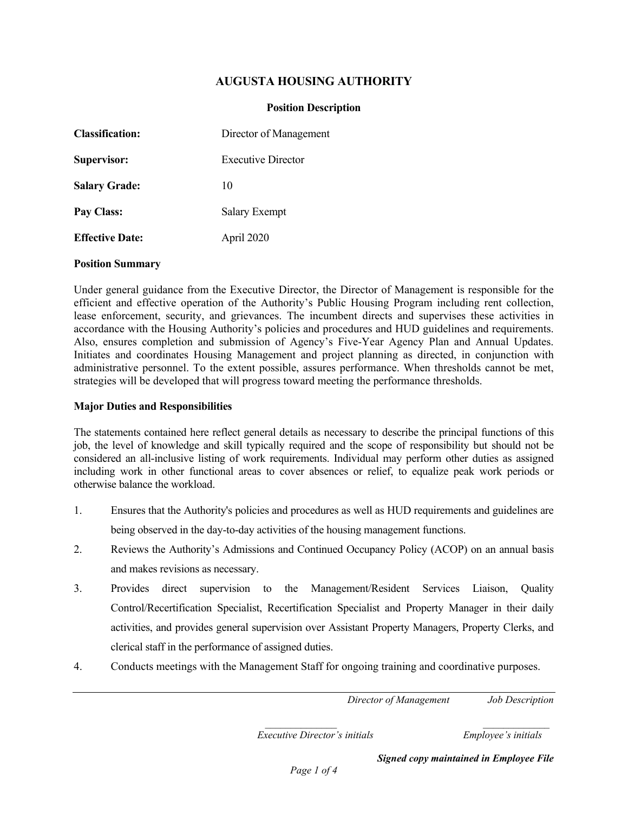# **AUGUSTA HOUSING AUTHORITY**

#### **Position Description**

| <b>Classification:</b> | Director of Management    |  |
|------------------------|---------------------------|--|
| Supervisor:            | <b>Executive Director</b> |  |
| <b>Salary Grade:</b>   | 10                        |  |
| Pay Class:             | <b>Salary Exempt</b>      |  |
| <b>Effective Date:</b> | April 2020                |  |

#### **Position Summary**

Under general guidance from the Executive Director, the Director of Management is responsible for the efficient and effective operation of the Authority's Public Housing Program including rent collection, lease enforcement, security, and grievances. The incumbent directs and supervises these activities in accordance with the Housing Authority's policies and procedures and HUD guidelines and requirements. Also, ensures completion and submission of Agency's Five-Year Agency Plan and Annual Updates. Initiates and coordinates Housing Management and project planning as directed, in conjunction with administrative personnel. To the extent possible, assures performance. When thresholds cannot be met, strategies will be developed that will progress toward meeting the performance thresholds.

#### **Major Duties and Responsibilities**

The statements contained here reflect general details as necessary to describe the principal functions of this job, the level of knowledge and skill typically required and the scope of responsibility but should not be considered an all-inclusive listing of work requirements. Individual may perform other duties as assigned including work in other functional areas to cover absences or relief, to equalize peak work periods or otherwise balance the workload.

- 1. Ensures that the Authority's policies and procedures as well as HUD requirements and guidelines are being observed in the day-to-day activities of the housing management functions.
- 2. Reviews the Authority's Admissions and Continued Occupancy Policy (ACOP) on an annual basis and makes revisions as necessary.
- 3. Provides direct supervision to the Management/Resident Services Liaison, Quality Control/Recertification Specialist, Recertification Specialist and Property Manager in their daily activities, and provides general supervision over Assistant Property Managers, Property Clerks, and clerical staff in the performance of assigned duties.
- 4. Conducts meetings with the Management Staff for ongoing training and coordinative purposes.

*Director of Management Job Description*

 *\_\_\_\_\_\_\_\_\_\_\_\_\_\_ \_\_\_\_\_\_\_\_\_\_\_\_\_ Executive Director's initials Employee's initials*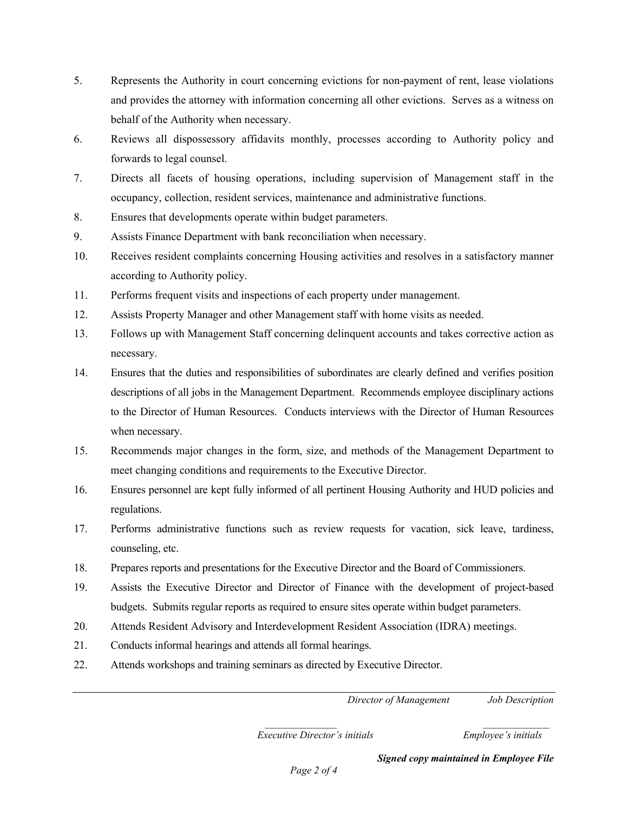- 5. Represents the Authority in court concerning evictions for non-payment of rent, lease violations and provides the attorney with information concerning all other evictions. Serves as a witness on behalf of the Authority when necessary.
- 6. Reviews all dispossessory affidavits monthly, processes according to Authority policy and forwards to legal counsel.
- 7. Directs all facets of housing operations, including supervision of Management staff in the occupancy, collection, resident services, maintenance and administrative functions.
- 8. Ensures that developments operate within budget parameters.
- 9. Assists Finance Department with bank reconciliation when necessary.
- 10. Receives resident complaints concerning Housing activities and resolves in a satisfactory manner according to Authority policy.
- 11. Performs frequent visits and inspections of each property under management.
- 12. Assists Property Manager and other Management staff with home visits as needed.
- 13. Follows up with Management Staff concerning delinquent accounts and takes corrective action as necessary.
- 14. Ensures that the duties and responsibilities of subordinates are clearly defined and verifies position descriptions of all jobs in the Management Department. Recommends employee disciplinary actions to the Director of Human Resources. Conducts interviews with the Director of Human Resources when necessary.
- 15. Recommends major changes in the form, size, and methods of the Management Department to meet changing conditions and requirements to the Executive Director.
- 16. Ensures personnel are kept fully informed of all pertinent Housing Authority and HUD policies and regulations.
- 17. Performs administrative functions such as review requests for vacation, sick leave, tardiness, counseling, etc.
- 18. Prepares reports and presentations for the Executive Director and the Board of Commissioners.
- 19. Assists the Executive Director and Director of Finance with the development of project-based budgets. Submits regular reports as required to ensure sites operate within budget parameters.
- 20. Attends Resident Advisory and Interdevelopment Resident Association (IDRA) meetings.
- 21. Conducts informal hearings and attends all formal hearings.
- 22. Attends workshops and training seminars as directed by Executive Director.

*Director of Management Job Description*

 *\_\_\_\_\_\_\_\_\_\_\_\_\_\_ \_\_\_\_\_\_\_\_\_\_\_\_\_ Executive Director's initials Employee's initials*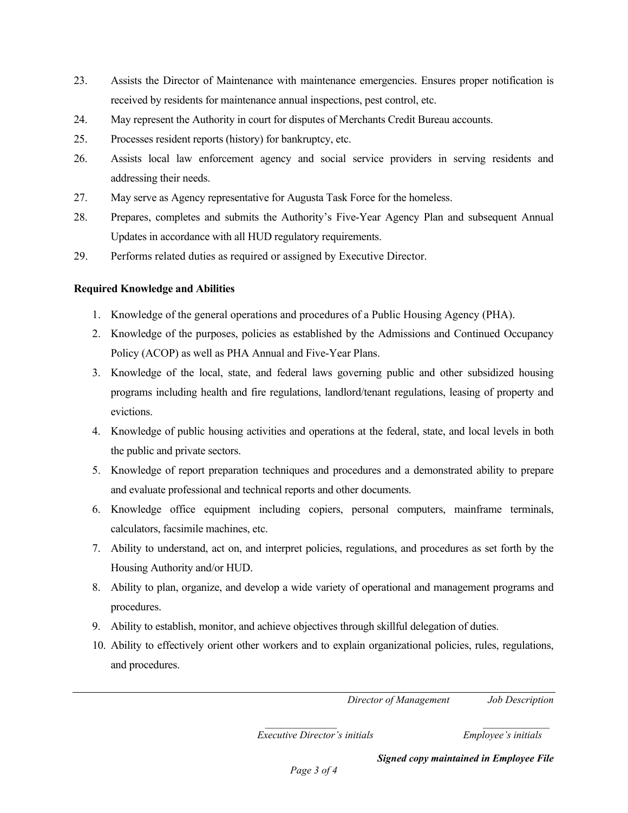- 23. Assists the Director of Maintenance with maintenance emergencies. Ensures proper notification is received by residents for maintenance annual inspections, pest control, etc.
- 24. May represent the Authority in court for disputes of Merchants Credit Bureau accounts.
- 25. Processes resident reports (history) for bankruptcy, etc.
- 26. Assists local law enforcement agency and social service providers in serving residents and addressing their needs.
- 27. May serve as Agency representative for Augusta Task Force for the homeless.
- 28. Prepares, completes and submits the Authority's Five-Year Agency Plan and subsequent Annual Updates in accordance with all HUD regulatory requirements.
- 29. Performs related duties as required or assigned by Executive Director.

# **Required Knowledge and Abilities**

- 1. Knowledge of the general operations and procedures of a Public Housing Agency (PHA).
- 2. Knowledge of the purposes, policies as established by the Admissions and Continued Occupancy Policy (ACOP) as well as PHA Annual and Five-Year Plans.
- 3. Knowledge of the local, state, and federal laws governing public and other subsidized housing programs including health and fire regulations, landlord/tenant regulations, leasing of property and evictions.
- 4. Knowledge of public housing activities and operations at the federal, state, and local levels in both the public and private sectors.
- 5. Knowledge of report preparation techniques and procedures and a demonstrated ability to prepare and evaluate professional and technical reports and other documents.
- 6. Knowledge office equipment including copiers, personal computers, mainframe terminals, calculators, facsimile machines, etc.
- 7. Ability to understand, act on, and interpret policies, regulations, and procedures as set forth by the Housing Authority and/or HUD.
- 8. Ability to plan, organize, and develop a wide variety of operational and management programs and procedures.
- 9. Ability to establish, monitor, and achieve objectives through skillful delegation of duties.
- 10. Ability to effectively orient other workers and to explain organizational policies, rules, regulations, and procedures.

*Director of Management Job Description*

 *\_\_\_\_\_\_\_\_\_\_\_\_\_\_ \_\_\_\_\_\_\_\_\_\_\_\_\_ Executive Director's initials Employee's initials*